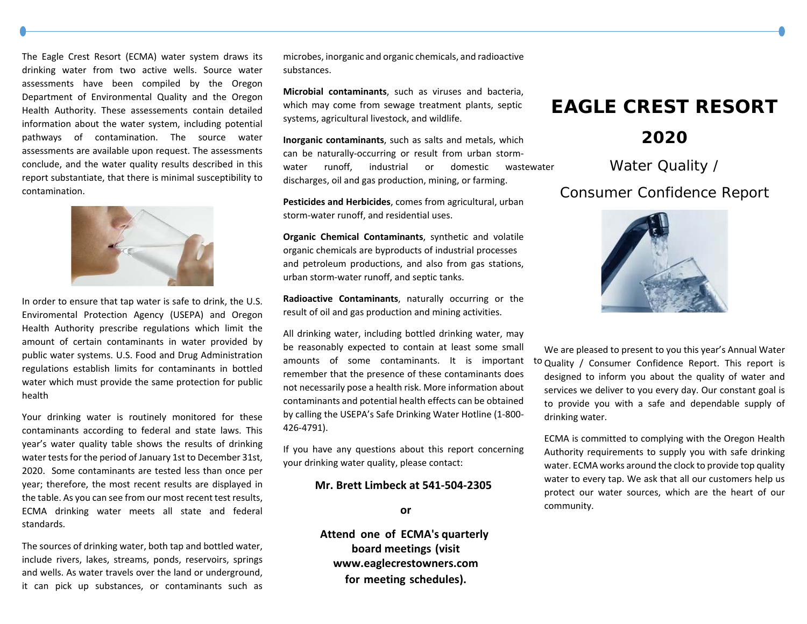The Eagle Crest Resort (ECMA) water system draws its drinking water from two active wells. Source water assessments have been compiled by the Oregon Department of Environmental Quality and the Oregon Health Authority. These assessements contain detailed information about the water system, including potential pathways of contamination. The source water assessments are available upon request. The assessments conclude, and the water quality results described in this report substantiate, that there is minimal susceptibility to contamination.



In order to ensure that tap water is safe to drink, the U.S. Enviromental Protection Agency (USEPA) and Oregon Health Authority prescribe regulations which limit the amount of certain contaminants in water provided by public water systems. U.S. Food and Drug Administration regulations establish limits for contaminants in bottled water which must provide the same protection for public health

Your drinking water is routinely monitored for these contaminants according to federal and state laws. This year's water quality table shows the results of drinking water tests for the period of January 1st to December 31st, 2020. Some contaminants are tested less than once per year; therefore, the most recent results are displayed in the table. As you can see from our most recent test results, ECMA drinking water meets all state and federal standards.

The sources of drinking water, both tap and bottled water, include rivers, lakes, streams, ponds, reservoirs, springs and wells. As water travels over the land or underground, it can pick up substances, or contaminants such as

microbes, inorganic and organic chemicals, and radioactive substances.

**Microbial contaminants**, such as viruses and bacteria, which may come from sewage treat ment plants, septicsystems, agricultural livestock, and wildlife.

**Inorganic contaminants**, such as salts and metals, which can be naturally‐occurring or result from urban storm‐water runoff, industrial or domestic wastewater discharges, oil and gas production, mining, or farming.

**Pesticides and Herbicides**, comes from agricultural, urban storm‐water runoff, and residential uses.

**Organic Chemical Contaminants**, synthetic and volatile organic chemicals are byproducts of industrial processes and petroleum productions, and also from gas stations, urban storm‐water runoff, and septic tanks.

**Radioactive Contaminants**, naturally occurring or the result of oil and gas production and mining activities.

All drinking water, including bottled drinking water, may be reasonably expected to contain at least some small amounts of some contaminants. It is important to remember that the presence of these contaminants does not necessarily pose a health risk. More information about contaminants and potential health effects can be obtained by calling the USEPA's Safe Drinking Water Hotline (1‐800‐426‐4791).

If you have any questions about this report concerning your drinking water quality, please contact:

## **Mr. Brett Limbeck at 541‐504‐2305**

## **or**

**Attend one of ECMA's quarterlyboard meetings (visit www.eaglecrestowners.com for meeting schedules).**

## **EAGLE CREST RESORT**

## **2020**

Water Quality /

Consumer Confidence Report



We are pleased to present to you this year's Annual Water to Quality / Consumer Confidence Report. This report is designed to inform you about the quality of water and services we deliver to you every day. Our constant goal is to provide you with <sup>a</sup> safe and dependable supply of drinking water.

ECMA is committed to complying with the Oregon Health Authority requirements to supply you with safe drinking water. ECMA works around the clock to provide top quality water to every tap. We ask that all our customers help us protect our water sources, which are the heart of our community.